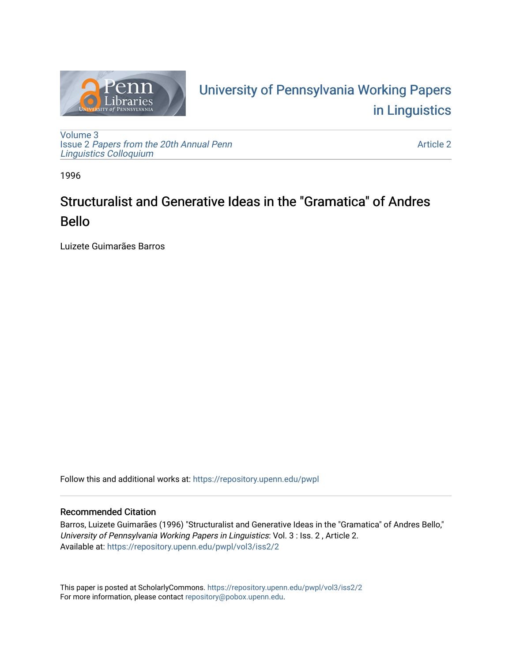

# University of P[ennsylvania Working P](https://repository.upenn.edu/pwpl)apers [in Linguistics](https://repository.upenn.edu/pwpl)

[Volume 3](https://repository.upenn.edu/pwpl/vol3) Issue 2 [Papers from the 20th Annual Penn](https://repository.upenn.edu/pwpl/vol3/iss2) [Linguistics Colloquium](https://repository.upenn.edu/pwpl/vol3/iss2)

[Article 2](https://repository.upenn.edu/pwpl/vol3/iss2/2) 

1996

# Structuralist and Generative Ideas in the "Gramatica" of Andres Bello

Luizete Guimarães Barros

Follow this and additional works at: [https://repository.upenn.edu/pwpl](https://repository.upenn.edu/pwpl?utm_source=repository.upenn.edu%2Fpwpl%2Fvol3%2Fiss2%2F2&utm_medium=PDF&utm_campaign=PDFCoverPages) 

## Recommended Citation

Barros, Luizete Guimarães (1996) "Structuralist and Generative Ideas in the "Gramatica" of Andres Bello," University of Pennsylvania Working Papers in Linguistics: Vol. 3 : Iss. 2 , Article 2. Available at: [https://repository.upenn.edu/pwpl/vol3/iss2/2](https://repository.upenn.edu/pwpl/vol3/iss2/2?utm_source=repository.upenn.edu%2Fpwpl%2Fvol3%2Fiss2%2F2&utm_medium=PDF&utm_campaign=PDFCoverPages) 

This paper is posted at ScholarlyCommons.<https://repository.upenn.edu/pwpl/vol3/iss2/2> For more information, please contact [repository@pobox.upenn.edu.](mailto:repository@pobox.upenn.edu)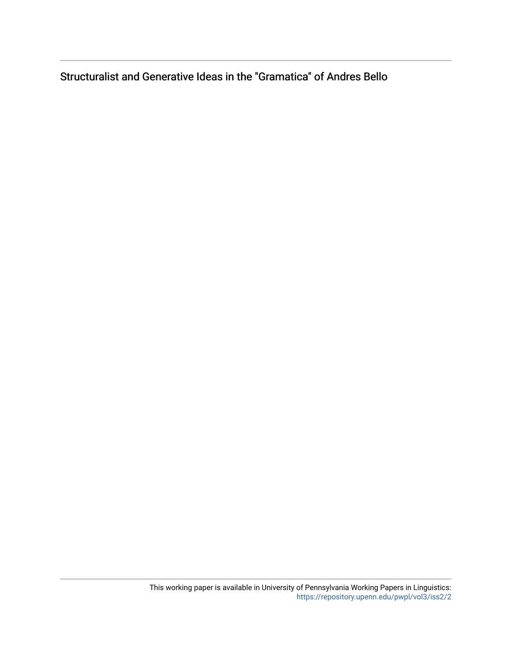Structuralist and Generative Ideas in the "Gramatica" of Andres Bello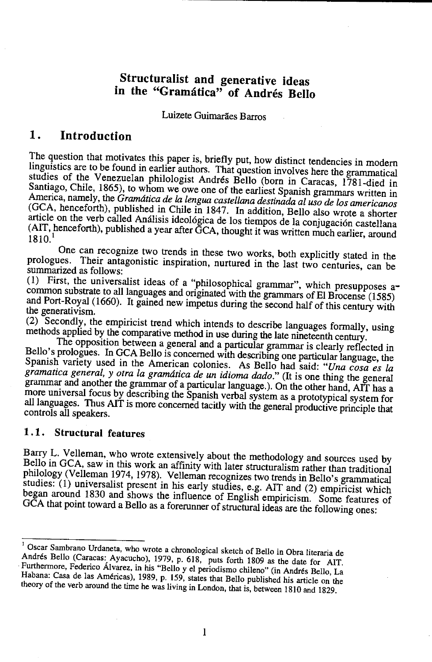## **Structuralist and generative ideas in the "Gramatica" of Andres Bello**

Luizete Guimarães Barros

### **1. Introduction**

The question that motivates this paper is, briefly put, how distinct tendencies in modern linguistics are to be found in earlier authors. That question involves here the grammatical studies of the Venezuelan philologist Andres Bello (born in Caracas, 1781-died in Santiago, Chile, 1865), to whom we owe one of the earliest Spanish grammars written in America, namely, the *Gramatica de la lengua Castellana destinada al uso de los americanos*  (GCA, henceforth), published in Chile in 1847. In addition, Bello also wrote a shorter article on the verb called Análisis ideológica de los tiempos de la conjugación castellana (AIT, henceforth), published a year after GCA, thought it was written much earlier, around 1810.

One can recognize two trends in these two works, both explicitly stated in the prologues. Their antagonistic inspiration, nurtured in the last two centuries, can be summarized as follows:

(1) First, the universalist ideas of a "philosophical grammar", which presupposes  $a$ common substrate to all languages and originated with the grammars of El Brocense (1585) and Port-Royal (1660). It gained new impetus during the second half of this century with the generativism.

(2) Secondly, the empiricist trend which intends to describe languages formally, using methods applied by the comparative method in use during the late nineteenth century.

The opposition between a general and a particular grammar is clearly reflected in Bello's prologues. In GCA Bello is concerned with describing one particular language, the Spanish variety used in the American colonies. As Bello had said: *"Una cosa es la gramatica general, y otra la gramatica de un idioma dado."* (It is one thing the general grammar and another the grammar of a particular language.). On the other hand, AIT has a more universal focus by describing the Spanish verbal system as a prototypical system for all languages. Thus AIT is more concerned tacitly with the general productive principle that controls all speakers.

#### **1 .1. Structural features**

Barry L. Velleman, who wrote extensively about the methodology and sources used by Bello in GCA, saw in this work an affinity with later structuralism rather than traditional philology (Velleman 1974, 1978). Velleman recognizes two trends in Bello's grammatical studies: (I) universalist present in his early studies, e.g. AIT and (2) empiricist which began around 1830 and shows the influence of English empiricism. Some features of GCA that point toward a Bello as a forerunner of structural ideas are the following ones:

Oscar Sambrano Urdaneta, who wrote a chronological sketch of Bello in Obra literaria de Andres Bello (Caracas: Ayacucho), 1979, p. 618, puts forth 1809 *as* the date for AlT. Furthermore, Federico Alvarez, in his "Bello y el periodismo chileno" (in Andres Bello, La Habana: Casa de las Americas), 1989, p. 159, states that Bello published his article on the theory of the verb around the time he was living in London, that is, between 1810 and 1829.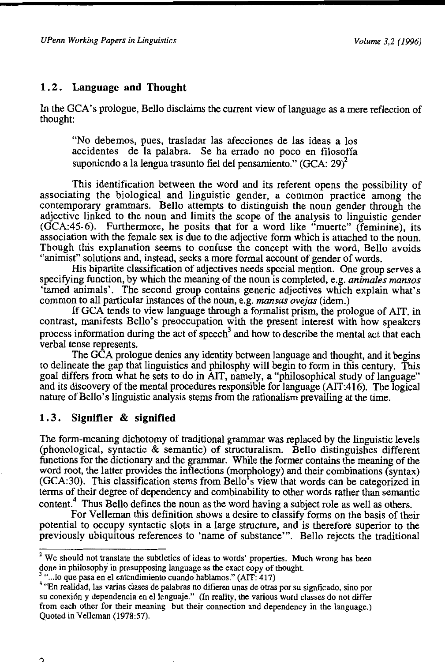#### **1** . 2. **Language and Thought**

In the GCA's prologue, Bello disclaims the current view of language as a mere reflection of thought:

"No debemos, pues, trasladar las afecciones de las ideas a los accidentes de Ia palabra. Se ha errado no poco en filosofia suponiendo a la lengua trasunto fiel del pensamiento." (GCA: 29) $^2$ 

This identification between the word and its referent opens the possibility of associating the biological and linguistic gender, a common practice among the contemporary grammars. Bello attempts to distinguish the noun gender through the adjective linked to the noun and limits the scope of the analysis to linguistic gender (GCA:45-6). Furthermore, he posits that for a word like "muerte" (feminine), its association with the female sex is due to the adjective form which is attached to the noun. Though this explanation seems to confuse the concept with the word, Bello avoids "animist" solutions and, instead, seeks a more formal account of gender of words.

His bipartite classification of adjectives needs special mention. One group serves a specifying function, by which the meaning of the noun is completed, e.g. *animales mansos*  'tamed animals'. The second group contains generic adjectives which explain what's common to all particular instances of the noun, e.g. *mansas ovejas* (idem.)

If GCA tends to view language through a formalist prism, the prologue of AIT, in contrast, manifests Bello's preoccupation with the present interest with how speakers process information during the act of speech<sup>3</sup> and how to describe the mental act that each verbal tense represents.

The GCA prologue denies any identity between language and thought, and it begins to delineate the gap that linguistics and philosphy will begin to form in this century. This goal differs from what he sets to do in AIT, namely, a "philosophical study of language" and its discovery of the mental procedures responsible for language (AIT:416). The logical nature of Bello's linguistic analysis stems from the rationalism prevailing at the time.

#### **1. 3. Signifier & signified**

The form-meaning dichotomy of traditional grammar was replaced by the linguistic levels (phonological, syntactic & semantic) of structuralism. Bello distinguishes different functions for the dictionary and the grammar. While the former contains the meaning of the word root, the latter provides the inflections (morphology) and their combinations (syntax) (GCA:30). This classification stems from Bello's view that words can be categorized in terms of their degree of dependency and combinability to other words rather than semantic content.<sup>4</sup> Thus Bello defines the noun as the word having a subject role as well as others.

For Velleman this definition shows a desire to classify forms on the basis of their potential to occupy syntactic slots in a large structure, and is therefore superior to the previously ubiquitous references to 'name of substance"'. Bello rejects the traditional

<sup>&</sup>lt;sup>2</sup> We should not translate the subtleties of ideas to words' properties. Much wrong has been done in philosophy in presupposing language as the exact copy of thought.<br><sup>3</sup> "...lo que pasa en el entendimiento cuando hablamos." (AIT: 417)

<sup>&</sup>lt;sup>4</sup> "En realidad, las varias clases de palabras no difieren unas de otras por su signficado, sino por su conexión y dependencia en el lenguaje." (In reality, the various word classes do not differ from each other for their meaning but their connection and dependency in the language.) Quoted in Velleman (1978:57).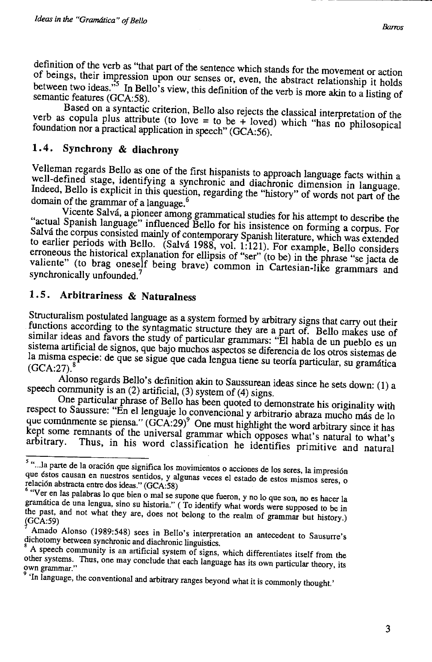definition of the verb as "that part of the sentence which stands for the movement or action  $\frac{1}{2}$  beings, then impression upon our senses or, even, the abstract relationship it holds between two ideas." In Bello's view, this definition of the verb is more akin to a listing of semantic features (GCA:58).

Based on a syntactic criterion, Bello also rejects the classical interpretation of the verb as copula plus attribute (to love = to be + loved) which "has no philosopical foundation nor a practical application in speech" (GCA:56).

#### **1. 4. Synchrony & diachrony**

Velleman regards Bello as one of the first hispanists to approach language facts within a well-defined stage, identifying a synchronic and diachronic dimension in language. Indeed, Bello is explicit in this question, regarding the "history" of words not part of the domain of the grammar of a language. 6

Vicente Salva, a pioneer among grammatical studies for his attempt to describe the "actual Spanish language" influenced Bello for his insistence on forming a corpus. For Salvá the corpus consisted mainly of contemporary Spanish literature, which was extended to earlier periods with Bello. (Salva 1988, vol. 1:121). For example, Bello considers erroneous the historical explanation for ellipsis of "ser" (to be) in the phrase "se jacta de valiente" (to brag oneself being brave) common in Cartesian-like grammars and synchronically unfounded.<sup>7</sup>

#### **1. 5. Arbitrariness & Naturalness**

Structuralism postulated language as a system formed by arbitrary signs that carry out their functions according to the syntagmatic structure they are a part of. Bello makes use of similar ideas and favors the study of particular grammars: "El habla de un pueblo es un sistema artificial de signos, que bajo muchos aspectos se diferencia de los otros sistemas de la misma especie: de que se sigue que cada lengua tiene su teoría particular, su gramática (GCA:27).<sup>8</sup>

Alonso regards Bello's definition akin to Saussurean ideas since he sets down: (1) a speech community is an (2) artificial, (3) system of (4) signs.

One particular phrase of Bello has been quoted to demonstrate his originality with respect to Saussure: "En el lenguaje lo convencional y arbitrario abraza mucho más de lo que comúnmente se piensa."  $(GCA:29)^9$  One must highlight the word arbitrary since it has kept some remnants of the universal grammar which opposes what's natural to what's arbitrary. Thus, in his word classification he identified principal to what's Thus, in his word classification he identifies primitive and natural

<sup>&</sup>lt;sup>5</sup> "...la parte de la oración que significa los movimientos o acciones de los seres, la impresión que éstos causan en nuestros sentidos, y algunas veces el estado de estos mismos seres, o relación abstracta entre dos ideas." (GCA:58)

<sup>&</sup>lt;sup>6</sup> "Ver en las palabras lo que bien o mal se supone que fueron, y no lo que son, no es hacer la gramatica de una lengua, sino su historia." ( To identify what words were supposed to be in the past, and not what they are, does not belong to the realm of grammar but history.)

Amado Alonso (1989:548) sees in Bello's interpretation an antecedent to Sausurre's dichotomy between synchronic and diachronic linguistics.

A speech community is an artificial system of signs, which differentiates itself from the other systems. Thus, one may conclude that each language has its own particular theory, its own grammar."

<sup>&</sup>lt;sup>9</sup> 'In language, the conventional and arbitrary ranges beyond what it is commonly thought.'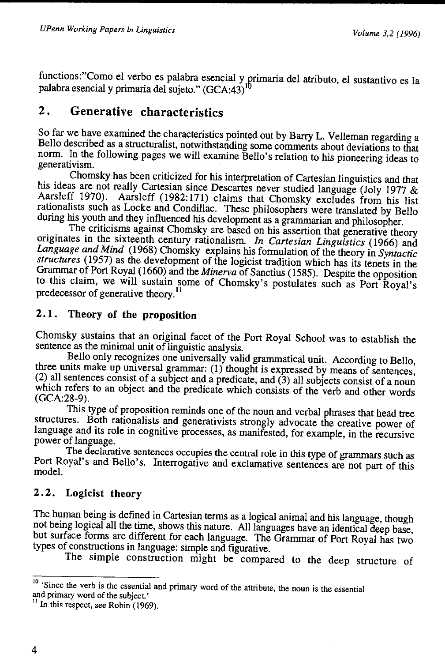functions: Como el verbo es palabra esencial y primaria del atributo, el sustantivo es la<br>palabra esencial y primaria del sujeto." (GCA:43)<sup>10</sup>

## **2. Generative characteristics**

So far we have examined the characteristics pointed out by Barry L. Velleman regarding a Bello described as a structuralist, notwithstanding some comments about deviations to that norm. In the following pages we will examine Bello's relation to his pioneering ideas to generativism.

Chomsky has been criticized for his interpretation of Cartesian linguistics and that his ideas are not really Cartesian since Descartes never studied language (Joly 1977 & Aarsleff 1970). Aarsleff (1982:171) claims that Chomsky excludes from his list rationalists such as Locke and Condillac. These philosophers were translated by Bello during his youth and they influenced his development as a grammarian and philosopher.

The criticisms against Chomsky are based on his assertion that generative theory originates in the sixteenth century rationalism. *In Cartesian Linguistics* (1966) and *Language and Mind* (1968) Chomsky explains his formulation of the theory in *Syntactic structures* (1957) as the development of the logicist tradition which has its tenets in the Grammar of Port Royal (1660) and the *Minerva* of Sanctius ( 1585). Despite the opposition to this claim, we will sustain some of Chomsky's postulates such as Port Royal's predecessor of generative theory. <sup>11</sup>

### **2.1 . Theory of the proposition**

Chomsky sustains that an original facet of the Port Royal School was to establish the sentence as the minimal unit of linguistic analysis.

Bello only recognizes one universally valid grammatical unit. According to Bello, three units make up universal grammar: (1) thought is expressed by means of sentences, (2) all sentences consist of a subject and a predicate, and (3) all subjects consist of a noun which refers to an object and the predicate which consists of the verb and other words (GCA:28-9).

This type of proposition reminds one of the noun and verbal phrases that head tree structures. Both rationalists and generativists strongly advocate the creative power of language and its role in cognitive processes, as manifested, for example, in the recursive power of language.

The declarative sentences occupies the central role in this type of grammars such as Port Royal's and Bello's. Interrogative and exclamative sentences are not part of this model

## **2. 2. Logicist theory**

The human being is defined in Cartesian terms as a logical animal and his language, though not being logical all the time, shows this nature. All languages have an identical deep base, but surface forms are different for each language. The Grammar of Port Royal has two types of constructions in language: simple and figurative.

The simple construction might be compared to the deep structure of

 $10^{\circ}$  Since the verb is the essential and primary word of the attribute, the noun is the essential and primary word of the subject.'  $\frac{11}{11}$  In this respect, see Robin (1969).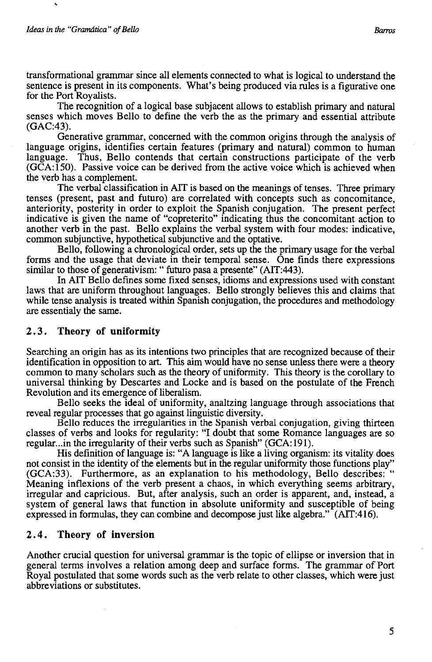The recognition of a logical base subjacent allows to establish primary and natural senses which moves Bello to define the verb the as the primary and essential attribute (GAC:43).

Generative grammar, concerned with the common origins through the analysis of language origins, identifies certain features (primary and natural) common to human language. Thus, Bello contends that certain constructions participate of the verb (GCA:150). Passive voice can be derived from the active voice which is achieved when the verb has a complement.

The verbal classification in AlT is based on the meanings of tenses. Three primary tenses (present, past and futuro) are correlated with concepts such as concomitance, anteriority, posterity in order to exploit the Spanish conjugation. The present perfect indicative is given the name of "copreterito" indicating thus the concomitant action to another verb in the past. Bello explains the verbal system with four modes: indicative, common subjunctive, hypothetical subjunctive and the optative.

Bello, following a chronological order, sets up the the primary usage for the verbal forms and the usage that deviate in their temporal sense. One finds there expressions similar to those of generativism: " futuro pasa a presente" (AIT:443).

In AlT Bello defines some fixed senses, idioms and expressions used with constant laws that are uniform throughout languages. Bello strongly believes this and claims that while tense analysis is treated within Spanish conjugation, the procedures and methodology are essentialy the same.

#### 2. 3 . **Theory of uniformity**

Searching an origin has as its intentions two principles that are recognized because of their identification in opposition to art. This aim would have no sense unless there were a theory common to many scholars such as the theory of uniformity. This theory is the corollary to universal thinking by Descartes and Locke and is based on the postulate of the French Revolution and its emergence of liberalism.

Bello seeks the ideal of uniformity, analtzing language through associations that reveal regular processes that go against linguistic diversity.

Bello reduces the irregularities in the Spanish verbal conjugation, giving thirteen classes of verbs and looks for regularity: "I doubt that some Romance languages are so regular...in the irregularity of their verbs such as Spanish" (GCA: 191).

His definition of language is: "A language is like a living organism: its vitality does not consist in the identity of the elements but in the regular uniformity those functions play" (GCA:33). Furthermore, as an explanation to his methodology, Bello describes: " Meaning inflexions of the verb present a chaos, in which everything seems arbitrary, irregular and capricious. But, after analysis, such an order is apparent, and, instead, a system of general laws that function in absolute uniformity and susceptible of being expressed in formulas, they can combine and decompose just like algebra." (AIT:416).

#### **2. 4. Theory of inversion**

Another crucial question for universal grammar is the topic of ellipse or inversion that in general terms involves a relation among deep and surface forms. The grammar of Port Royal postulated that some words such as the verb relate to other classes, which were just abbreviations or substitutes.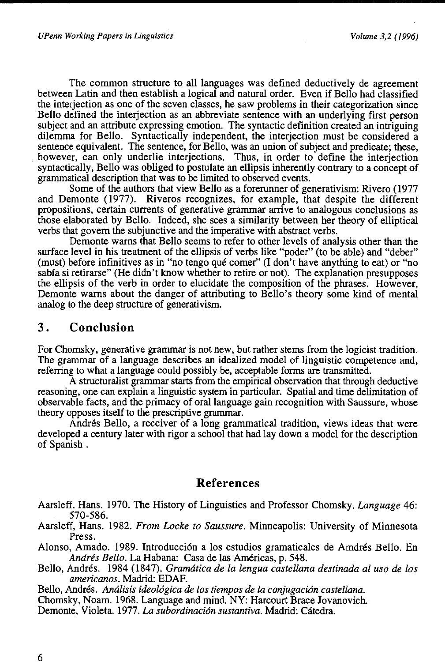The common structure to all languages was defined deductively de agreement between Latin and then establish a logical and natural order. Even if Bello had classified the interjection as one of the seven classes, he saw problems in their categorization since Bello defined the interjection as an abbreviate sentence with an underlying first person subject and an attribute expressing emotion. The syntactic definition created an intriguing dilemma for Bello. Syntactically independent, the interjection must be considered a sentence equivalent. The sentence, for Bello, was an union of subject and predicate; these, however, can only underlie interjections. Thus, in order to define the interjection syntactically, Bello was obliged to postulate an ellipsis inherently contrary to a concept of grammatical description that was to be limited to observed events.

Some of the authors that view Bello as a forerunner of generativism: Rivero (1977 and Demonte (1977). Riveros recognizes, for example, that despite the different propositions, certain currents of generative grammar arrive to analogous conclusions as those elaborated by Bello. Indeed, she sees a similarity between her theory of elliptical verbs that govern the subjunctive and the imperative with abstract verbs.

Demonte warns that Bello seems to refer to other levels of analysis other than the surface level in his treatment of the ellipsis of verbs like "poder" (to be able) and "deber" (must) before infinitives as in "no tengo que comer" (I don't have anything to eat) or "no sabia si retirarse" (He didn't know whether to retire or not). The explanation presupposes the ellipsis of the verb in order to elucidate the composition of the phrases. However, Demonte warns about the danger of attributing to Bello's theory some kind of mental analog to the deep structure of generativism.

## **3. Conclusion**

For Chomsky, generative grammar is not new, but rather stems from the logicist tradition. The grammar of a language describes an idealized model of linguistic competence and, referring to what a language could possibly be, acceptable forms are transmitted.

A structuralist grammar starts from the empirical observation that through deductive reasoning, one can explain a linguistic system in particular. Spatial and time delimitation of observable facts, and the primacy of oral language gain recognition with Saussure, whose theory opposes itself to the prescriptive grammar.

Andrés Bello, a receiver of a long grammatical tradition, views ideas that were developed a century later with rigor a school that had lay down a model for the description of Spanish.

#### **References**

- Aarsleff, Hans. 1970. The History of Linguistics and Professor Chomsky. *Language* 46: 570-586.
- Aarsleff, Hans. 1982. *From Locke to Saussure*. Minneapolis: University of Minnesota Press.
- Alonso, Amado. 1989. Introducci6n a los estudios gramaticales de Amdres Bello. En *Andres Bello.* La Habana: Casa de las Americas, p. 548.
- Bello, Andres. 1984 (1847). *Gramatica de la lengua castellana destinada al uso de los americanos.* Madrid: EDAF.

Bello, Andrés. *Análisis ideológica de los tiempos de la conjugación castellana.* 

Chomsky, Noam. 1968. Language and mind. NY: Harcourt Brace Jovanovich.

Demonte, Violeta. 1977. *La subordinación sustantiva*. Madrid: Cátedra.